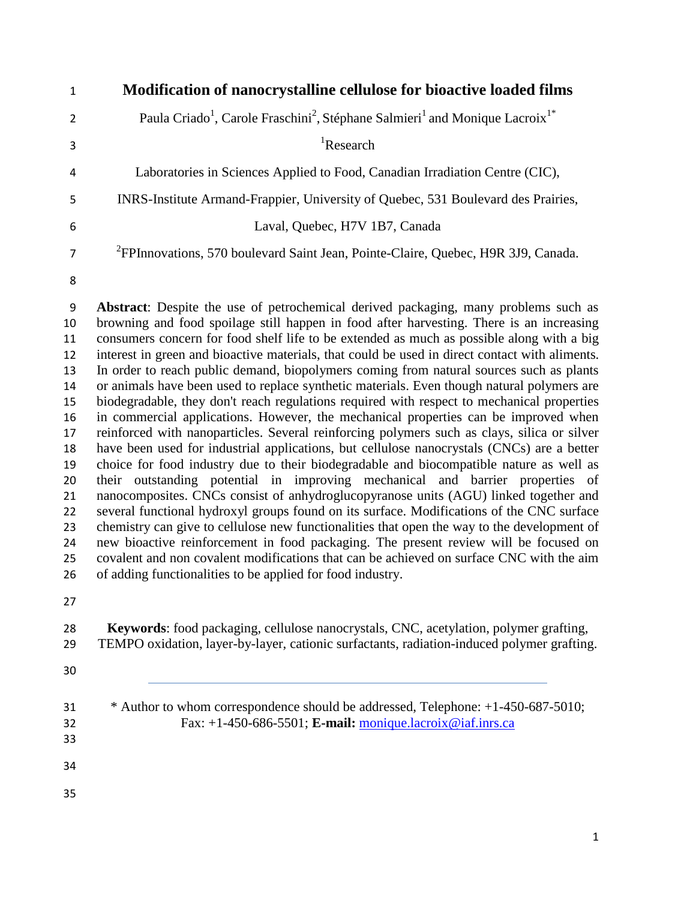| $\mathbf{1}$   | Modification of nanocrystalline cellulose for bioactive loaded films                                                         |
|----------------|------------------------------------------------------------------------------------------------------------------------------|
| $\overline{2}$ | Paula Criado <sup>1</sup> , Carole Fraschini <sup>2</sup> , Stéphane Salmieri <sup>1</sup> and Monique Lacroix <sup>1*</sup> |
| 3              | <sup>1</sup> Research                                                                                                        |
| $\overline{4}$ | Laboratories in Sciences Applied to Food, Canadian Irradiation Centre (CIC),                                                 |
| 5              | INRS-Institute Armand-Frappier, University of Quebec, 531 Boulevard des Prairies,                                            |
| 6              | Laval, Quebec, H7V 1B7, Canada                                                                                               |
| $\overline{7}$ | <sup>2</sup> FPInnovations, 570 boulevard Saint Jean, Pointe-Claire, Quebec, H9R 3J9, Canada.                                |
| 8              |                                                                                                                              |
| 9              | <b>Abstract:</b> Despite the use of petrochemical derived packaging, many problems such as                                   |

 browning and food spoilage still happen in food after harvesting. There is an increasing consumers concern for food shelf life to be extended as much as possible along with a big interest in green and bioactive materials, that could be used in direct contact with aliments. In order to reach public demand, biopolymers coming from natural sources such as plants or animals have been used to replace synthetic materials. Even though natural polymers are biodegradable, they don't reach regulations required with respect to mechanical properties in commercial applications. However, the mechanical properties can be improved when reinforced with nanoparticles. Several reinforcing polymers such as clays, silica or silver have been used for industrial applications, but cellulose nanocrystals (CNCs) are a better choice for food industry due to their biodegradable and biocompatible nature as well as their outstanding potential in improving mechanical and barrier properties of nanocomposites. CNCs consist of anhydroglucopyranose units (AGU) linked together and several functional hydroxyl groups found on its surface. Modifications of the CNC surface chemistry can give to cellulose new functionalities that open the way to the development of new bioactive reinforcement in food packaging. The present review will be focused on 25 covalent and non covalent modifications that can be achieved on surface CNC with the aim of adding functionalities to be applied for food industry.

 **Keywords**: food packaging, cellulose nanocrystals, CNC, acetylation, polymer grafting, TEMPO oxidation, layer-by-layer, cationic surfactants, radiation-induced polymer grafting.

- 
- \* Author to whom correspondence should be addressed, Telephone: +1-450-687-5010; Fax: +1-450-686-5501; **E-mail:** [monique.lacroix@iaf.inrs.ca](mailto:monique.lacroix@iaf.inrs.ca)
- 
- 
-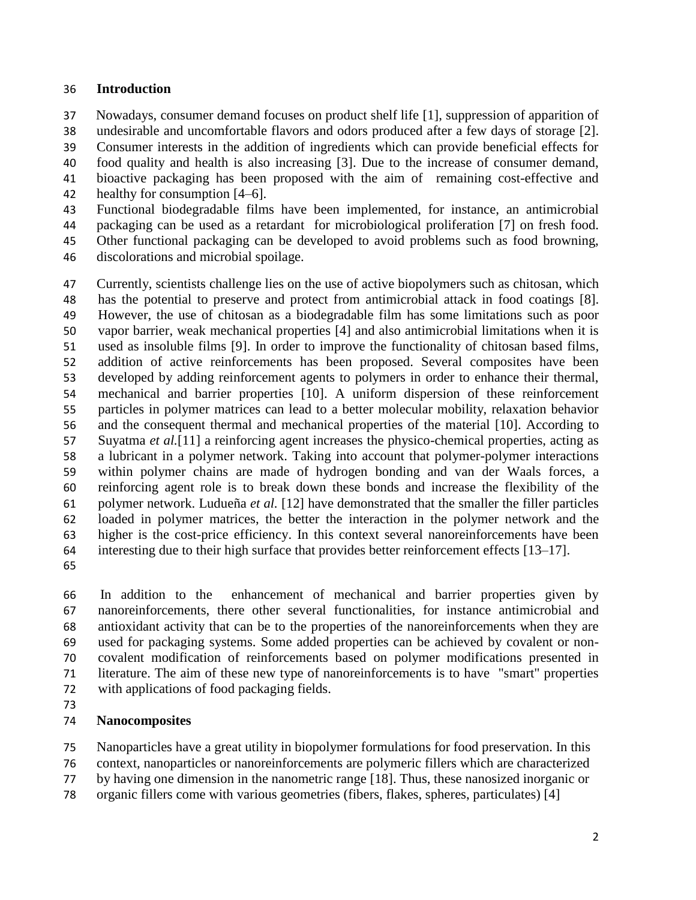### **Introduction**

Nowadays, consumer demand focuses on product shelf life [1], suppression of apparition of

undesirable and uncomfortable flavors and odors produced after a few days of storage [2].

Consumer interests in the addition of ingredients which can provide beneficial effects for

food quality and health is also increasing [3]. Due to the increase of consumer demand,

bioactive packaging has been proposed with the aim of remaining cost-effective and

healthy for consumption [4–6].

Functional biodegradable films have been implemented, for instance, an antimicrobial

packaging can be used as a retardant for microbiological proliferation [7] on fresh food.

 Other functional packaging can be developed to avoid problems such as food browning, discolorations and microbial spoilage.

 Currently, scientists challenge lies on the use of active biopolymers such as chitosan, which has the potential to preserve and protect from antimicrobial attack in food coatings [8]. However, the use of chitosan as a biodegradable film has some limitations such as poor vapor barrier, weak mechanical properties [4] and also antimicrobial limitations when it is used as insoluble films [9]. In order to improve the functionality of chitosan based films, addition of active reinforcements has been proposed. Several composites have been developed by adding reinforcement agents to polymers in order to enhance their thermal, mechanical and barrier properties [10]. A uniform dispersion of these reinforcement particles in polymer matrices can lead to a better molecular mobility, relaxation behavior and the consequent thermal and mechanical properties of the material [10]. According to Suyatma *et al.*[11] a reinforcing agent increases the physico-chemical properties, acting as a lubricant in a polymer network. Taking into account that polymer-polymer interactions within polymer chains are made of hydrogen bonding and van der Waals forces, a reinforcing agent role is to break down these bonds and increase the flexibility of the polymer network. Ludueña *et al.* [12] have demonstrated that the smaller the filler particles loaded in polymer matrices, the better the interaction in the polymer network and the higher is the cost-price efficiency. In this context several nanoreinforcements have been interesting due to their high surface that provides better reinforcement effects [13–17].

 In addition to the enhancement of mechanical and barrier properties given by nanoreinforcements, there other several functionalities, for instance antimicrobial and antioxidant activity that can be to the properties of the nanoreinforcements when they are used for packaging systems. Some added properties can be achieved by covalent or non- covalent modification of reinforcements based on polymer modifications presented in literature. The aim of these new type of nanoreinforcements is to have "smart" properties with applications of food packaging fields.

## **Nanocomposites**

Nanoparticles have a great utility in biopolymer formulations for food preservation. In this

context, nanoparticles or nanoreinforcements are polymeric fillers which are characterized

by having one dimension in the nanometric range [18]. Thus, these nanosized inorganic or

organic fillers come with various geometries (fibers, flakes, spheres, particulates) [4]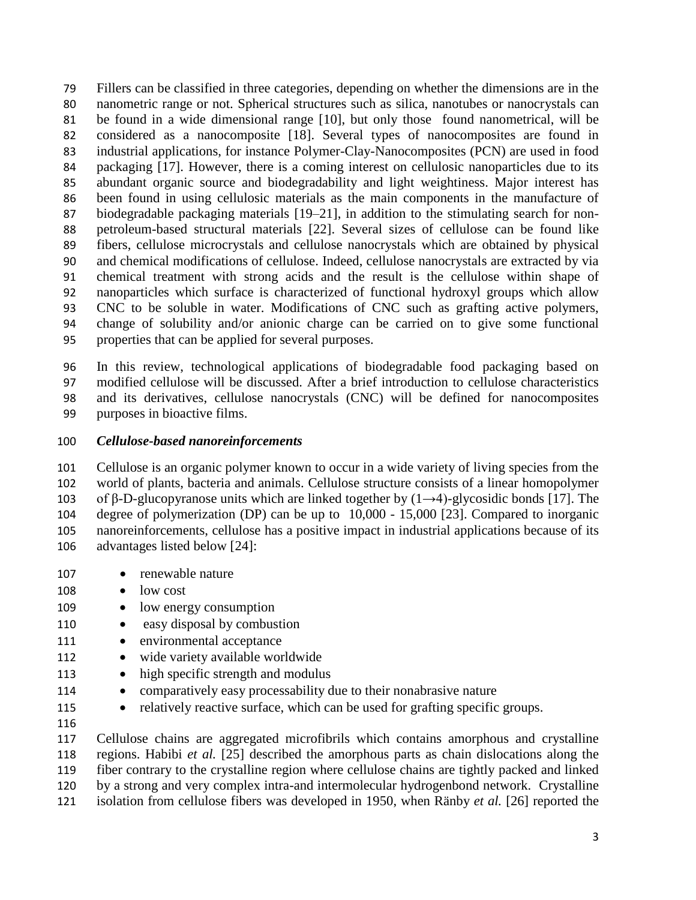Fillers can be classified in three categories, depending on whether the dimensions are in the nanometric range or not. Spherical structures such as silica, nanotubes or nanocrystals can be found in a wide dimensional range [10], but only those found nanometrical, will be considered as a nanocomposite [18]. Several types of nanocomposites are found in industrial applications, for instance Polymer-Clay-Nanocomposites (PCN) are used in food packaging [17]. However, there is a coming interest on cellulosic nanoparticles due to its abundant organic source and biodegradability and light weightiness. Major interest has been found in using cellulosic materials as the main components in the manufacture of biodegradable packaging materials [19–21], in addition to the stimulating search for non- petroleum-based structural materials [22]. Several sizes of cellulose can be found like fibers, cellulose microcrystals and cellulose nanocrystals which are obtained by physical and chemical modifications of cellulose. Indeed, cellulose nanocrystals are extracted by via chemical treatment with strong acids and the result is the cellulose within shape of nanoparticles which surface is characterized of functional hydroxyl groups which allow CNC to be soluble in water. Modifications of CNC such as grafting active polymers, change of solubility and/or anionic charge can be carried on to give some functional properties that can be applied for several purposes.

 In this review, technological applications of biodegradable food packaging based on modified cellulose will be discussed. After a brief introduction to cellulose characteristics and its derivatives, cellulose nanocrystals (CNC) will be defined for nanocomposites purposes in bioactive films.

### *Cellulose-based nanoreinforcements*

 Cellulose is an organic polymer known to occur in a wide variety of living species from the world of plants, bacteria and animals. Cellulose structure consists of a linear homopolymer 103 of β-D-glucopyranose units which are linked together by  $(1\rightarrow 4)$ -glycosidic bonds [17]. The degree of polymerization (DP) can be up to 10,000 - 15,000 [23]. Compared to inorganic nanoreinforcements, cellulose has a positive impact in industrial applications because of its advantages listed below [24]:

- 107 renewable nature
- 108 low cost
- 109 low energy consumption
- 110 easy disposal by combustion
- 111 environmental acceptance
- 112 wide variety available worldwide
- 113 high specific strength and modulus
- 114 comparatively easy processability due to their nonabrasive nature
- 115 relatively reactive surface, which can be used for grafting specific groups.
- 

 Cellulose chains are aggregated microfibrils which contains amorphous and crystalline regions. Habibi *et al.* [25] described the amorphous parts as chain dislocations along the fiber contrary to the crystalline region where cellulose chains are tightly packed and linked by a strong and very complex intra-and intermolecular hydrogenbond network. Crystalline isolation from cellulose fibers was developed in 1950, when Ränby *et al.* [26] reported the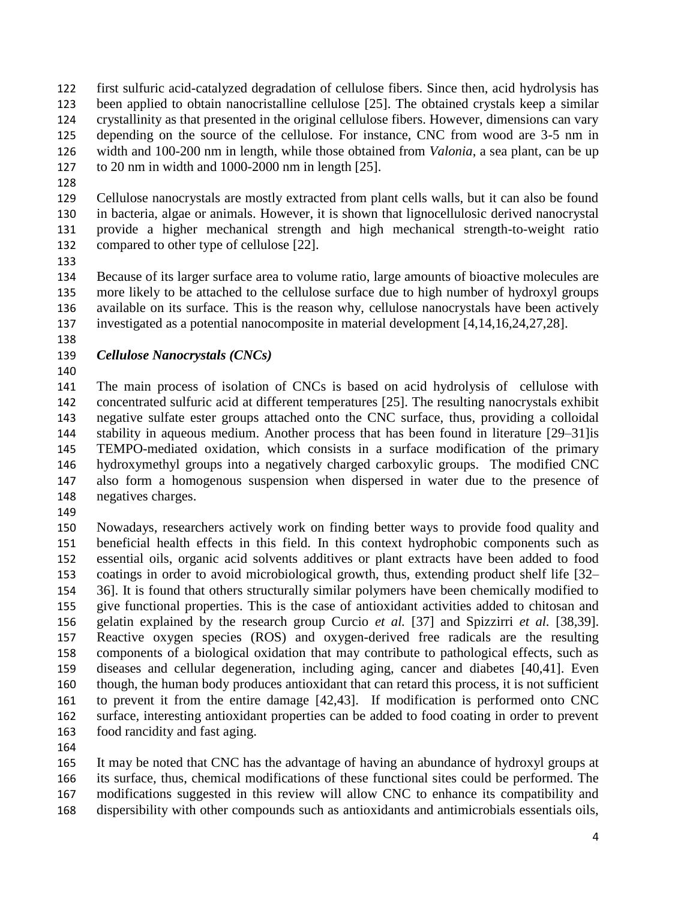first sulfuric acid-catalyzed degradation of cellulose fibers. Since then, acid hydrolysis has been applied to obtain nanocristalline cellulose [25]. The obtained crystals keep a similar crystallinity as that presented in the original cellulose fibers. However, dimensions can vary depending on the source of the cellulose. For instance, CNC from wood are 3-5 nm in width and 100-200 nm in length, while those obtained from *Valonia*, a sea plant, can be up to 20 nm in width and 1000-2000 nm in length [25].

 Cellulose nanocrystals are mostly extracted from plant cells walls, but it can also be found in bacteria, algae or animals. However, it is shown that lignocellulosic derived nanocrystal provide a higher mechanical strength and high mechanical strength-to-weight ratio compared to other type of cellulose [22].

 Because of its larger surface area to volume ratio, large amounts of bioactive molecules are more likely to be attached to the cellulose surface due to high number of hydroxyl groups available on its surface. This is the reason why, cellulose nanocrystals have been actively investigated as a potential nanocomposite in material development [4,14,16,24,27,28].

## *Cellulose Nanocrystals (CNCs)*

 The main process of isolation of CNCs is based on acid hydrolysis of cellulose with concentrated sulfuric acid at different temperatures [25]. The resulting nanocrystals exhibit negative sulfate ester groups attached onto the CNC surface, thus, providing a colloidal stability in aqueous medium. Another process that has been found in literature [29–31]is TEMPO-mediated oxidation, which consists in a surface modification of the primary hydroxymethyl groups into a negatively charged carboxylic groups. The modified CNC also form a homogenous suspension when dispersed in water due to the presence of negatives charges.

 Nowadays, researchers actively work on finding better ways to provide food quality and beneficial health effects in this field. In this context hydrophobic components such as essential oils, organic acid solvents additives or plant extracts have been added to food coatings in order to avoid microbiological growth, thus, extending product shelf life [32– 36]. It is found that others structurally similar polymers have been chemically modified to give functional properties. This is the case of antioxidant activities added to chitosan and gelatin explained by the research group Curcio *et al.* [37] and Spizzirri *et al.* [38,39]. Reactive oxygen species (ROS) and oxygen-derived free radicals are the resulting components of a biological oxidation that may contribute to pathological effects, such as diseases and cellular degeneration, including aging, cancer and diabetes [40,41]. Even though, the human body produces antioxidant that can retard this process, it is not sufficient to prevent it from the entire damage [42,43]. If modification is performed onto CNC surface, interesting antioxidant properties can be added to food coating in order to prevent food rancidity and fast aging.

 It may be noted that CNC has the advantage of having an abundance of hydroxyl groups at its surface, thus, chemical modifications of these functional sites could be performed. The modifications suggested in this review will allow CNC to enhance its compatibility and dispersibility with other compounds such as antioxidants and antimicrobials essentials oils,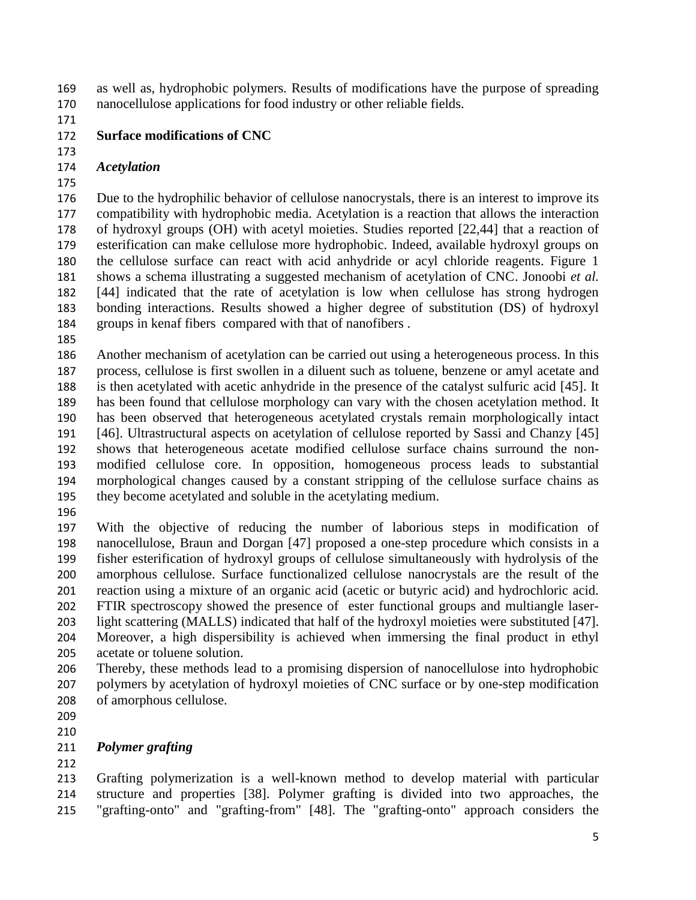as well as, hydrophobic polymers. Results of modifications have the purpose of spreading nanocellulose applications for food industry or other reliable fields.

## **Surface modifications of CNC**

## *Acetylation*

 Due to the hydrophilic behavior of cellulose nanocrystals, there is an interest to improve its compatibility with hydrophobic media. Acetylation is a reaction that allows the interaction of hydroxyl groups (OH) with acetyl moieties. Studies reported [22,44] that a reaction of esterification can make cellulose more hydrophobic. Indeed, available hydroxyl groups on the cellulose surface can react with acid anhydride or acyl chloride reagents. Figure 1 shows a schema illustrating a suggested mechanism of acetylation of CNC. Jonoobi *et al.* [44] indicated that the rate of acetylation is low when cellulose has strong hydrogen bonding interactions. Results showed a higher degree of substitution (DS) of hydroxyl groups in kenaf fibers compared with that of nanofibers .

 Another mechanism of acetylation can be carried out using a heterogeneous process. In this process, cellulose is first swollen in a diluent such as toluene, benzene or amyl acetate and is then acetylated with acetic anhydride in the presence of the catalyst sulfuric acid [45]. It has been found that cellulose morphology can vary with the chosen acetylation method. It has been observed that heterogeneous acetylated crystals remain morphologically intact [46]. Ultrastructural aspects on acetylation of cellulose reported by Sassi and Chanzy [45] shows that heterogeneous acetate modified cellulose surface chains surround the non- modified cellulose core. In opposition, homogeneous process leads to substantial morphological changes caused by a constant stripping of the cellulose surface chains as they become acetylated and soluble in the acetylating medium.

 With the objective of reducing the number of laborious steps in modification of nanocellulose, Braun and Dorgan [47] proposed a one-step procedure which consists in a fisher esterification of hydroxyl groups of cellulose simultaneously with hydrolysis of the amorphous cellulose. Surface functionalized cellulose nanocrystals are the result of the reaction using a mixture of an organic acid (acetic or butyric acid) and hydrochloric acid. FTIR spectroscopy showed the presence of ester functional groups and multiangle laser- light scattering (MALLS) indicated that half of the hydroxyl moieties were substituted [47]. Moreover, a high dispersibility is achieved when immersing the final product in ethyl acetate or toluene solution.

- Thereby, these methods lead to a promising dispersion of nanocellulose into hydrophobic polymers by acetylation of hydroxyl moieties of CNC surface or by one-step modification of amorphous cellulose.
- 

## *Polymer grafting*

 Grafting polymerization is a well-known method to develop material with particular structure and properties [38]. Polymer grafting is divided into two approaches, the "grafting-onto" and "grafting-from" [48]. The "grafting-onto" approach considers the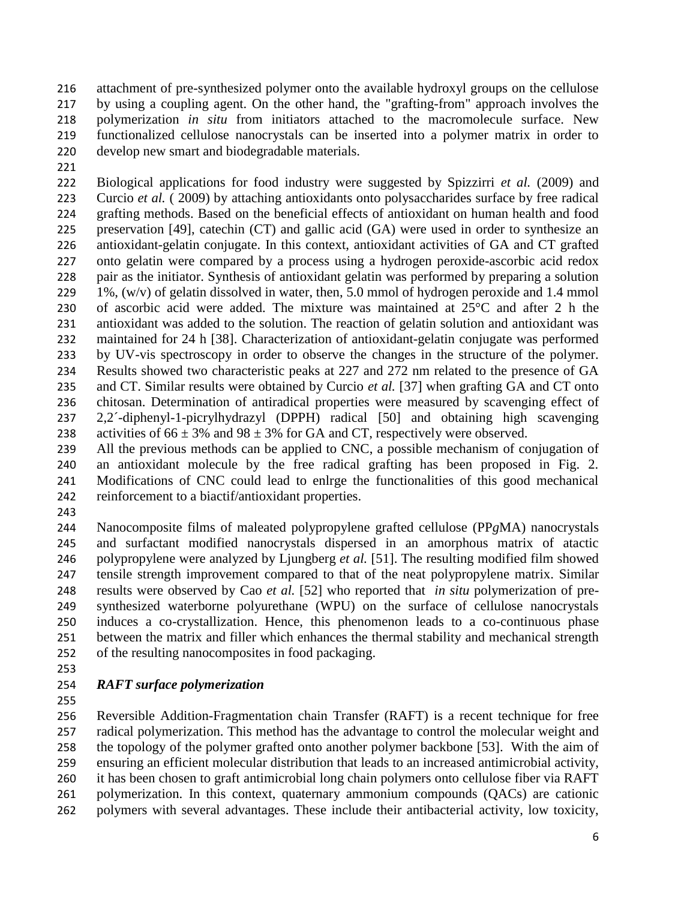attachment of pre-synthesized polymer onto the available hydroxyl groups on the cellulose by using a coupling agent. On the other hand, the "grafting-from" approach involves the polymerization *in situ* from initiators attached to the macromolecule surface. New functionalized cellulose nanocrystals can be inserted into a polymer matrix in order to develop new smart and biodegradable materials.

 Biological applications for food industry were suggested by Spizzirri *et al.* (2009) and Curcio *et al.* ( 2009) by attaching antioxidants onto polysaccharides surface by free radical grafting methods. Based on the beneficial effects of antioxidant on human health and food preservation [49], catechin (CT) and gallic acid (GA) were used in order to synthesize an antioxidant-gelatin conjugate. In this context, antioxidant activities of GA and CT grafted onto gelatin were compared by a process using a hydrogen peroxide-ascorbic acid redox pair as the initiator. Synthesis of antioxidant gelatin was performed by preparing a solution 229 1%,  $(w/v)$  of gelatin dissolved in water, then, 5.0 mmol of hydrogen peroxide and 1.4 mmol of ascorbic acid were added. The mixture was maintained at 25°C and after 2 h the antioxidant was added to the solution. The reaction of gelatin solution and antioxidant was maintained for 24 h [38]. Characterization of antioxidant-gelatin conjugate was performed by UV-vis spectroscopy in order to observe the changes in the structure of the polymer. Results showed two characteristic peaks at 227 and 272 nm related to the presence of GA and CT. Similar results were obtained by Curcio *et al.* [37] when grafting GA and CT onto chitosan. Determination of antiradical properties were measured by scavenging effect of 2,2´-diphenyl-1-picrylhydrazyl (DPPH) radical [50] and obtaining high scavenging 238 activities of  $66 \pm 3\%$  and  $98 \pm 3\%$  for GA and CT, respectively were observed.

 All the previous methods can be applied to CNC, a possible mechanism of conjugation of an antioxidant molecule by the free radical grafting has been proposed in Fig. 2. Modifications of CNC could lead to enlrge the functionalities of this good mechanical reinforcement to a biactif/antioxidant properties.

 Nanocomposite films of maleated polypropylene grafted cellulose (PP*g*MA) nanocrystals and surfactant modified nanocrystals dispersed in an amorphous matrix of atactic polypropylene were analyzed by Ljungberg *et al.* [51]. The resulting modified film showed tensile strength improvement compared to that of the neat polypropylene matrix. Similar results were observed by Cao *et al.* [52] who reported that *in situ* polymerization of pre- synthesized waterborne polyurethane (WPU) on the surface of cellulose nanocrystals induces a co-crystallization. Hence, this phenomenon leads to a co-continuous phase between the matrix and filler which enhances the thermal stability and mechanical strength of the resulting nanocomposites in food packaging.

## *RAFT surface polymerization*

 Reversible Addition-Fragmentation chain Transfer (RAFT) is a recent technique for free radical polymerization. This method has the advantage to control the molecular weight and the topology of the polymer grafted onto another polymer backbone [53]. With the aim of ensuring an efficient molecular distribution that leads to an increased antimicrobial activity, it has been chosen to graft antimicrobial long chain polymers onto cellulose fiber via RAFT polymerization. In this context, quaternary ammonium compounds (QACs) are cationic polymers with several advantages. These include their antibacterial activity, low toxicity,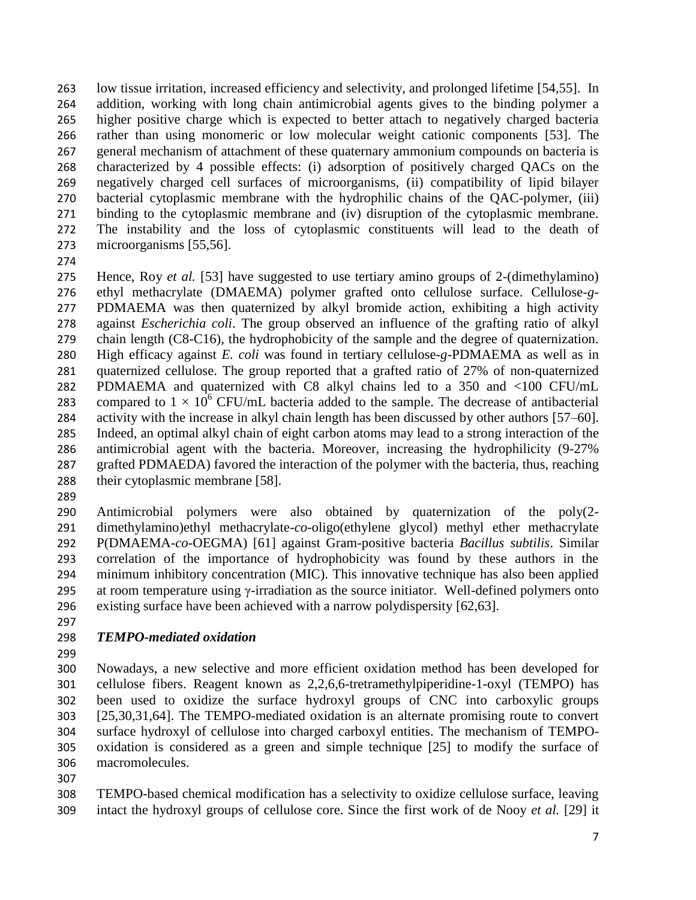low tissue irritation, increased efficiency and selectivity, and prolonged lifetime [54,55]. In addition, working with long chain antimicrobial agents gives to the binding polymer a higher positive charge which is expected to better attach to negatively charged bacteria rather than using monomeric or low molecular weight cationic components [53]. The general mechanism of attachment of these quaternary ammonium compounds on bacteria is characterized by 4 possible effects: (i) adsorption of positively charged QACs on the negatively charged cell surfaces of microorganisms, (ii) compatibility of lipid bilayer bacterial cytoplasmic membrane with the hydrophilic chains of the QAC-polymer, (iii) binding to the cytoplasmic membrane and (iv) disruption of the cytoplasmic membrane. The instability and the loss of cytoplasmic constituents will lead to the death of microorganisms [55,56].

 Hence, Roy *et al.* [53] have suggested to use tertiary amino groups of 2-(dimethylamino) ethyl methacrylate (DMAEMA) polymer grafted onto cellulose surface. Cellulose-*g*- PDMAEMA was then quaternized by alkyl bromide action, exhibiting a high activity against *Escherichia coli*. The group observed an influence of the grafting ratio of alkyl chain length (C8-C16), the hydrophobicity of the sample and the degree of quaternization. High efficacy against *E. coli* was found in tertiary cellulose-*g*-PDMAEMA as well as in quaternized cellulose. The group reported that a grafted ratio of 27% of non-quaternized PDMAEMA and quaternized with C8 alkyl chains led to a 350 and <100 CFU/mL 283 compared to  $1 \times 10^6$  CFU/mL bacteria added to the sample. The decrease of antibacterial activity with the increase in alkyl chain length has been discussed by other authors [57–60]. Indeed, an optimal alkyl chain of eight carbon atoms may lead to a strong interaction of the antimicrobial agent with the bacteria. Moreover, increasing the hydrophilicity (9-27% grafted PDMAEDA) favored the interaction of the polymer with the bacteria, thus, reaching their cytoplasmic membrane [58].

 Antimicrobial polymers were also obtained by quaternization of the poly(2- dimethylamino)ethyl methacrylate-*co*-oligo(ethylene glycol) methyl ether methacrylate P(DMAEMA-*co*-OEGMA) [61] against Gram-positive bacteria *Bacillus subtilis*. Similar correlation of the importance of hydrophobicity was found by these authors in the minimum inhibitory concentration (MIC). This innovative technique has also been applied at room temperature using γ-irradiation as the source initiator. Well-defined polymers onto existing surface have been achieved with a narrow polydispersity [62,63].

## *TEMPO-mediated oxidation*

 Nowadays, a new selective and more efficient oxidation method has been developed for cellulose fibers. Reagent known as 2,2,6,6-tretramethylpiperidine-1-oxyl (TEMPO) has been used to oxidize the surface hydroxyl groups of CNC into carboxylic groups [25,30,31,64]. The TEMPO-mediated oxidation is an alternate promising route to convert surface hydroxyl of cellulose into charged carboxyl entities. The mechanism of TEMPO- oxidation is considered as a green and simple technique [25] to modify the surface of macromolecules.

 TEMPO-based chemical modification has a selectivity to oxidize cellulose surface, leaving intact the hydroxyl groups of cellulose core. Since the first work of de Nooy *et al.* [29] it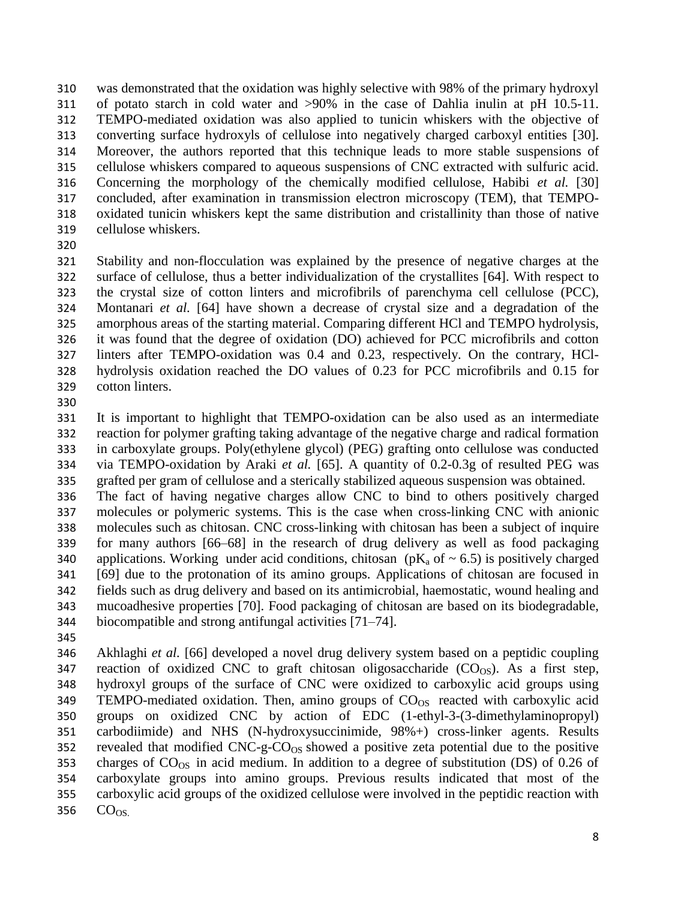was demonstrated that the oxidation was highly selective with 98% of the primary hydroxyl of potato starch in cold water and >90% in the case of Dahlia inulin at pH 10.5-11. TEMPO-mediated oxidation was also applied to tunicin whiskers with the objective of converting surface hydroxyls of cellulose into negatively charged carboxyl entities [30]. Moreover, the authors reported that this technique leads to more stable suspensions of cellulose whiskers compared to aqueous suspensions of CNC extracted with sulfuric acid. Concerning the morphology of the chemically modified cellulose, Habibi *et al.* [30] concluded, after examination in transmission electron microscopy (TEM), that TEMPO- oxidated tunicin whiskers kept the same distribution and cristallinity than those of native cellulose whiskers.

 Stability and non-flocculation was explained by the presence of negative charges at the surface of cellulose, thus a better individualization of the crystallites [64]. With respect to the crystal size of cotton linters and microfibrils of parenchyma cell cellulose (PCC), Montanari *et al.* [64] have shown a decrease of crystal size and a degradation of the amorphous areas of the starting material. Comparing different HCl and TEMPO hydrolysis, it was found that the degree of oxidation (DO) achieved for PCC microfibrils and cotton linters after TEMPO-oxidation was 0.4 and 0.23, respectively. On the contrary, HCl- hydrolysis oxidation reached the DO values of 0.23 for PCC microfibrils and 0.15 for cotton linters.

 It is important to highlight that TEMPO-oxidation can be also used as an intermediate reaction for polymer grafting taking advantage of the negative charge and radical formation in carboxylate groups. Poly(ethylene glycol) (PEG) grafting onto cellulose was conducted via TEMPO-oxidation by Araki *et al.* [65]. A quantity of 0.2-0.3g of resulted PEG was grafted per gram of cellulose and a sterically stabilized aqueous suspension was obtained.

 The fact of having negative charges allow CNC to bind to others positively charged molecules or polymeric systems. This is the case when cross-linking CNC with anionic molecules such as chitosan. CNC cross-linking with chitosan has been a subject of inquire for many authors [66–68] in the research of drug delivery as well as food packaging 340 applications. Working under acid conditions, chitosan ( $pK_a$  of  $\sim$  6.5) is positively charged [69] due to the protonation of its amino groups. Applications of chitosan are focused in fields such as drug delivery and based on its antimicrobial, haemostatic, wound healing and mucoadhesive properties [70]. Food packaging of chitosan are based on its biodegradable, biocompatible and strong antifungal activities [71–74].

 Akhlaghi *et al.* [66] developed a novel drug delivery system based on a peptidic coupling 347 reaction of oxidized CNC to graft chitosan oligosaccharide  $(CO_{OS})$ . As a first step, hydroxyl groups of the surface of CNC were oxidized to carboxylic acid groups using 349 TEMPO-mediated oxidation. Then, amino groups of  $CO<sub>OS</sub>$  reacted with carboxylic acid groups on oxidized CNC by action of EDC (1-ethyl-3-(3-dimethylaminopropyl) carbodiimide) and NHS (N-hydroxysuccinimide, 98%+) cross-linker agents. Results 352 revealed that modified  $CNC-g-CO_{OS}$  showed a positive zeta potential due to the positive 353 charges of  $CO<sub>OS</sub>$  in acid medium. In addition to a degree of substitution (DS) of 0.26 of carboxylate groups into amino groups. Previous results indicated that most of the carboxylic acid groups of the oxidized cellulose were involved in the peptidic reaction with  $CO<sub>OS</sub>$ .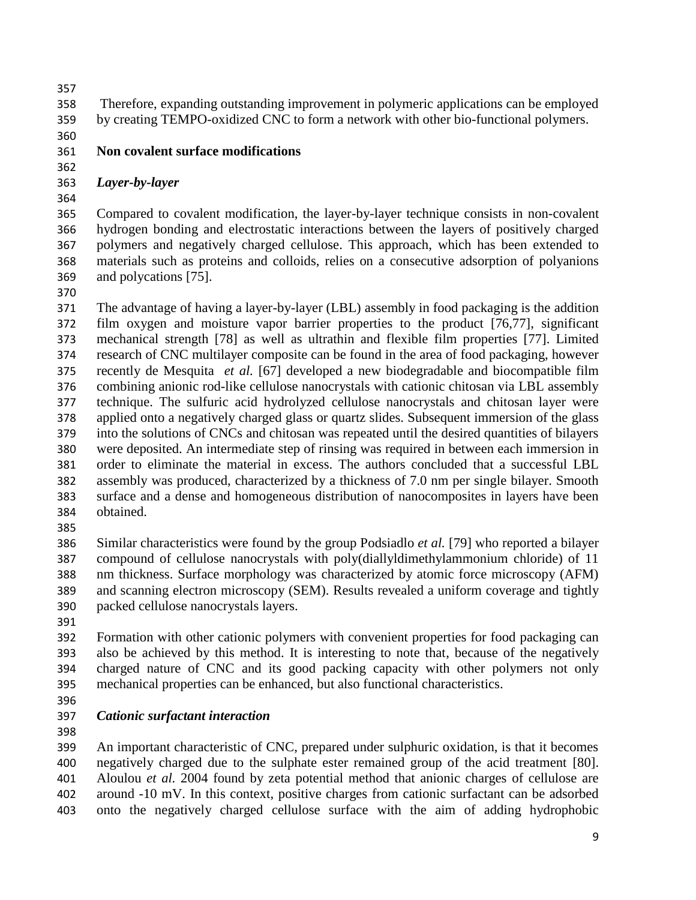Therefore, expanding outstanding improvement in polymeric applications can be employed by creating TEMPO-oxidized CNC to form a network with other bio-functional polymers.

# **Non covalent surface modifications**

# *Layer-by-layer*

 Compared to covalent modification, the layer-by-layer technique consists in non-covalent hydrogen bonding and electrostatic interactions between the layers of positively charged polymers and negatively charged cellulose. This approach, which has been extended to materials such as proteins and colloids, relies on a consecutive adsorption of polyanions and polycations [75].

 The advantage of having a layer-by-layer (LBL) assembly in food packaging is the addition film oxygen and moisture vapor barrier properties to the product [76,77], significant mechanical strength [78] as well as ultrathin and flexible film properties [77]. Limited research of CNC multilayer composite can be found in the area of food packaging, however recently de Mesquita *et al.* [67] developed a new biodegradable and biocompatible film combining anionic rod-like cellulose nanocrystals with cationic chitosan via LBL assembly technique. The sulfuric acid hydrolyzed cellulose nanocrystals and chitosan layer were applied onto a negatively charged glass or quartz slides. Subsequent immersion of the glass into the solutions of CNCs and chitosan was repeated until the desired quantities of bilayers were deposited. An intermediate step of rinsing was required in between each immersion in order to eliminate the material in excess. The authors concluded that a successful LBL assembly was produced, characterized by a thickness of 7.0 nm per single bilayer. Smooth surface and a dense and homogeneous distribution of nanocomposites in layers have been obtained. 

 Similar characteristics were found by the group Podsiadlo *et al.* [79] who reported a bilayer compound of cellulose nanocrystals with poly(diallyldimethylammonium chloride) of 11 nm thickness. Surface morphology was characterized by atomic force microscopy (AFM) and scanning electron microscopy (SEM). Results revealed a uniform coverage and tightly packed cellulose nanocrystals layers.

 Formation with other cationic polymers with convenient properties for food packaging can also be achieved by this method. It is interesting to note that, because of the negatively charged nature of CNC and its good packing capacity with other polymers not only mechanical properties can be enhanced, but also functional characteristics.

# *Cationic surfactant interaction*

 An important characteristic of CNC, prepared under sulphuric oxidation, is that it becomes negatively charged due to the sulphate ester remained group of the acid treatment [80]. Aloulou *et al.* 2004 found by zeta potential method that anionic charges of cellulose are around -10 mV. In this context, positive charges from cationic surfactant can be adsorbed onto the negatively charged cellulose surface with the aim of adding hydrophobic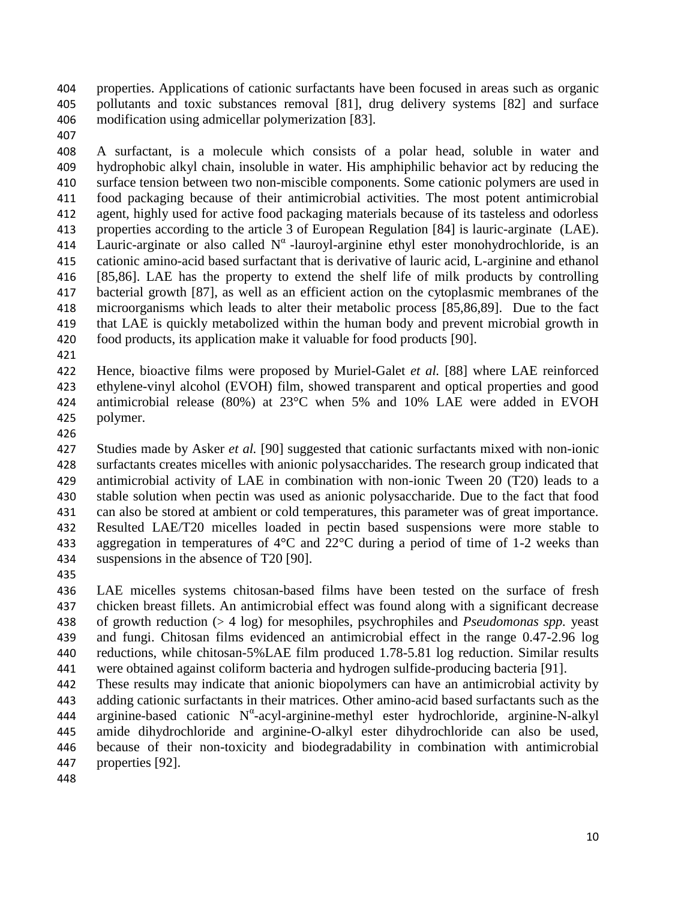properties. Applications of cationic surfactants have been focused in areas such as organic pollutants and toxic substances removal [81], drug delivery systems [82] and surface modification using admicellar polymerization [83].

 A surfactant, is a molecule which consists of a polar head, soluble in water and hydrophobic alkyl chain, insoluble in water. His amphiphilic behavior act by reducing the surface tension between two non-miscible components. Some cationic polymers are used in food packaging because of their antimicrobial activities. The most potent antimicrobial agent, highly used for active food packaging materials because of its tasteless and odorless properties according to the article 3 of European Regulation [84] is lauric-arginate (LAE). 414 Lauric-arginate or also called  $N^{\alpha}$ -lauroyl-arginine ethyl ester monohydrochloride, is an cationic amino-acid based surfactant that is derivative of lauric acid, L-arginine and ethanol [85,86]. LAE has the property to extend the shelf life of milk products by controlling bacterial growth [87], as well as an efficient action on the cytoplasmic membranes of the microorganisms which leads to alter their metabolic process [85,86,89]. Due to the fact that LAE is quickly metabolized within the human body and prevent microbial growth in food products, its application make it valuable for food products [90].

 Hence, bioactive films were proposed by Muriel-Galet *et al.* [88] where LAE reinforced ethylene-vinyl alcohol (EVOH) film, showed transparent and optical properties and good antimicrobial release (80%) at 23°C when 5% and 10% LAE were added in EVOH polymer.

 Studies made by Asker *et al.* [90] suggested that cationic surfactants mixed with non-ionic surfactants creates micelles with anionic polysaccharides. The research group indicated that antimicrobial activity of LAE in combination with non-ionic Tween 20 (T20) leads to a stable solution when pectin was used as anionic polysaccharide. Due to the fact that food can also be stored at ambient or cold temperatures, this parameter was of great importance. Resulted LAE/T20 micelles loaded in pectin based suspensions were more stable to aggregation in temperatures of 4°C and 22°C during a period of time of 1-2 weeks than suspensions in the absence of T20 [90].

 LAE micelles systems chitosan-based films have been tested on the surface of fresh chicken breast fillets. An antimicrobial effect was found along with a significant decrease of growth reduction (> 4 log) for mesophiles, psychrophiles and *Pseudomonas spp.* yeast and fungi. Chitosan films evidenced an antimicrobial effect in the range 0.47-2.96 log reductions, while chitosan-5%LAE film produced 1.78-5.81 log reduction. Similar results were obtained against coliform bacteria and hydrogen sulfide-producing bacteria [91].

 These results may indicate that anionic biopolymers can have an antimicrobial activity by adding cationic surfactants in their matrices. Other amino-acid based surfactants such as the 444 arginine-based cationic N<sup>a</sup>-acyl-arginine-methyl ester hydrochloride, arginine-N-alkyl amide dihydrochloride and arginine-O-alkyl ester dihydrochloride can also be used, because of their non-toxicity and biodegradability in combination with antimicrobial properties [92].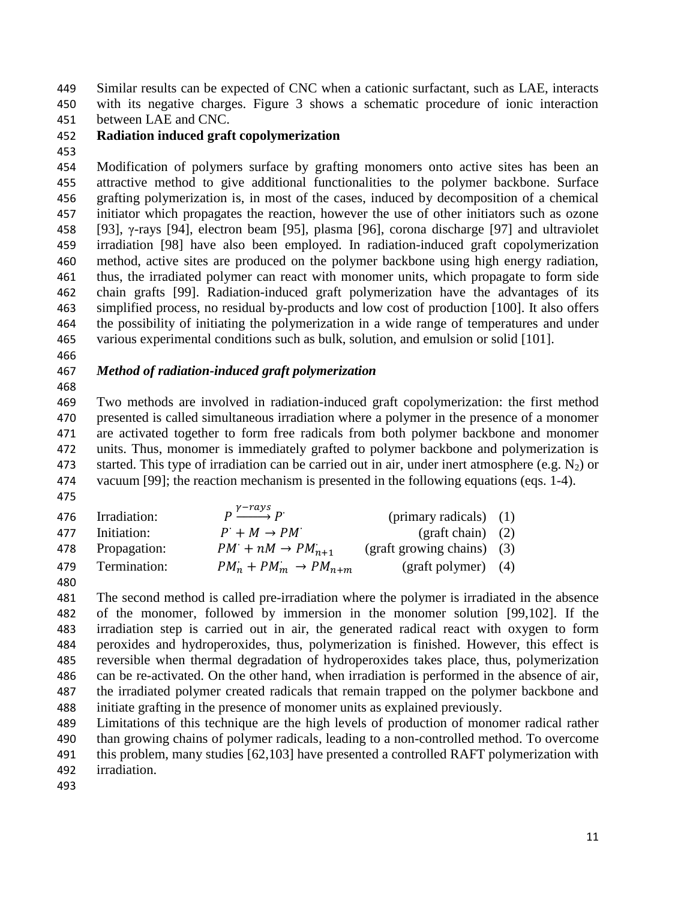Similar results can be expected of CNC when a cationic surfactant, such as LAE, interacts with its negative charges. Figure 3 shows a schematic procedure of ionic interaction

between LAE and CNC.

### **Radiation induced graft copolymerization**

 Modification of polymers surface by grafting monomers onto active sites has been an attractive method to give additional functionalities to the polymer backbone. Surface grafting polymerization is, in most of the cases, induced by decomposition of a chemical initiator which propagates the reaction, however the use of other initiators such as ozone [93], γ-rays [94], electron beam [95], plasma [96], corona discharge [97] and ultraviolet irradiation [98] have also been employed. In radiation-induced graft copolymerization method, active sites are produced on the polymer backbone using high energy radiation, thus, the irradiated polymer can react with monomer units, which propagate to form side chain grafts [99]. Radiation-induced graft polymerization have the advantages of its simplified process, no residual by-products and low cost of production [100]. It also offers the possibility of initiating the polymerization in a wide range of temperatures and under various experimental conditions such as bulk, solution, and emulsion or solid [101].

### *Method of radiation-induced graft polymerization*

 Two methods are involved in radiation-induced graft copolymerization: the first method presented is called simultaneous irradiation where a polymer in the presence of a monomer are activated together to form free radicals from both polymer backbone and monomer units. Thus, monomer is immediately grafted to polymer backbone and polymerization is 473 started. This type of irradiation can be carried out in air, under inert atmosphere (e.g.  $N_2$ ) or vacuum [99]; the reaction mechanism is presented in the following equations (eqs. 1-4). 

| 476 | Irradiation: | $p \xrightarrow{\gamma - rays} p$  | (primary radicals) $(1)$                 |  |
|-----|--------------|------------------------------------|------------------------------------------|--|
| 477 | Initiation:  | $P' + M \rightarrow PM'$           | $\left(\text{graff chain}\right)$ (2)    |  |
| 478 | Propagation: | $PM: + nM \rightarrow PM_{n+1}$    | $\frac{1}{2}$ (graft growing chains) (3) |  |
| 479 | Termination: | $PM_n + PM_m \rightarrow PM_{n+m}$ | $\frac{1}{2}$ (graft polymer) (4)        |  |
| 480 |              |                                    |                                          |  |

 The second method is called pre-irradiation where the polymer is irradiated in the absence of the monomer, followed by immersion in the monomer solution [99,102]. If the irradiation step is carried out in air, the generated radical react with oxygen to form peroxides and hydroperoxides, thus, polymerization is finished. However, this effect is reversible when thermal degradation of hydroperoxides takes place, thus, polymerization can be re-activated. On the other hand, when irradiation is performed in the absence of air, the irradiated polymer created radicals that remain trapped on the polymer backbone and initiate grafting in the presence of monomer units as explained previously.

 Limitations of this technique are the high levels of production of monomer radical rather than growing chains of polymer radicals, leading to a non-controlled method. To overcome this problem, many studies [62,103] have presented a controlled RAFT polymerization with irradiation.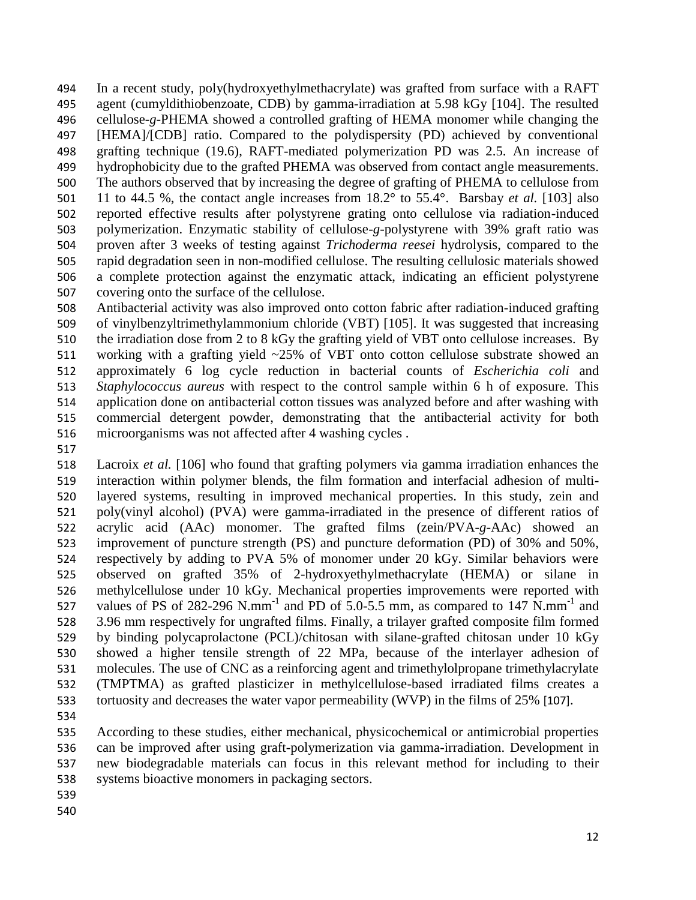In a recent study, poly(hydroxyethylmethacrylate) was grafted from surface with a RAFT agent (cumyldithiobenzoate, CDB) by gamma-irradiation at 5.98 kGy [104]. The resulted cellulose-*g*-PHEMA showed a controlled grafting of HEMA monomer while changing the [HEMA]/[CDB] ratio. Compared to the polydispersity (PD) achieved by conventional grafting technique (19.6), RAFT-mediated polymerization PD was 2.5. An increase of hydrophobicity due to the grafted PHEMA was observed from contact angle measurements. The authors observed that by increasing the degree of grafting of PHEMA to cellulose from 11 to 44.5 %, the contact angle increases from 18.2° to 55.4°. Barsbay *et al.* [103] also reported effective results after polystyrene grating onto cellulose via radiation-induced polymerization. Enzymatic stability of cellulose-*g*-polystyrene with 39% graft ratio was proven after 3 weeks of testing against *Trichoderma reesei* hydrolysis, compared to the rapid degradation seen in non-modified cellulose. The resulting cellulosic materials showed a complete protection against the enzymatic attack, indicating an efficient polystyrene covering onto the surface of the cellulose.

 Antibacterial activity was also improved onto cotton fabric after radiation-induced grafting of vinylbenzyltrimethylammonium chloride (VBT) [105]. It was suggested that increasing the irradiation dose from 2 to 8 kGy the grafting yield of VBT onto cellulose increases. By working with a grafting yield ~25% of VBT onto cotton cellulose substrate showed an approximately 6 log cycle reduction in bacterial counts of *Escherichia coli* and *Staphylococcus aureus* with respect to the control sample within 6 h of exposure*.* This application done on antibacterial cotton tissues was analyzed before and after washing with commercial detergent powder, demonstrating that the antibacterial activity for both microorganisms was not affected after 4 washing cycles .

 Lacroix *et al.* [106] who found that grafting polymers via gamma irradiation enhances the interaction within polymer blends, the film formation and interfacial adhesion of multi- layered systems, resulting in improved mechanical properties. In this study, zein and poly(vinyl alcohol) (PVA) were gamma-irradiated in the presence of different ratios of acrylic acid (AAc) monomer. The grafted films (zein/PVA-*g*-AAc) showed an improvement of puncture strength (PS) and puncture deformation (PD) of 30% and 50%, respectively by adding to PVA 5% of monomer under 20 kGy. Similar behaviors were observed on grafted 35% of 2-hydroxyethylmethacrylate (HEMA) or silane in methylcellulose under 10 kGy. Mechanical properties improvements were reported with 527 values of PS of 282-296 N.mm<sup>-1</sup> and PD of 5.0-5.5 mm, as compared to 147 N.mm<sup>-1</sup> and 3.96 mm respectively for ungrafted films. Finally, a trilayer grafted composite film formed by binding polycaprolactone (PCL)/chitosan with silane-grafted chitosan under 10 kGy showed a higher tensile strength of 22 MPa, because of the interlayer adhesion of molecules. The use of CNC as a reinforcing agent and trimethylolpropane trimethylacrylate (TMPTMA) as grafted plasticizer in methylcellulose-based irradiated films creates a tortuosity and decreases the water vapor permeability (WVP) in the films of 25% [107].

 According to these studies, either mechanical, physicochemical or antimicrobial properties can be improved after using graft-polymerization via gamma-irradiation. Development in new biodegradable materials can focus in this relevant method for including to their systems bioactive monomers in packaging sectors.

- 
-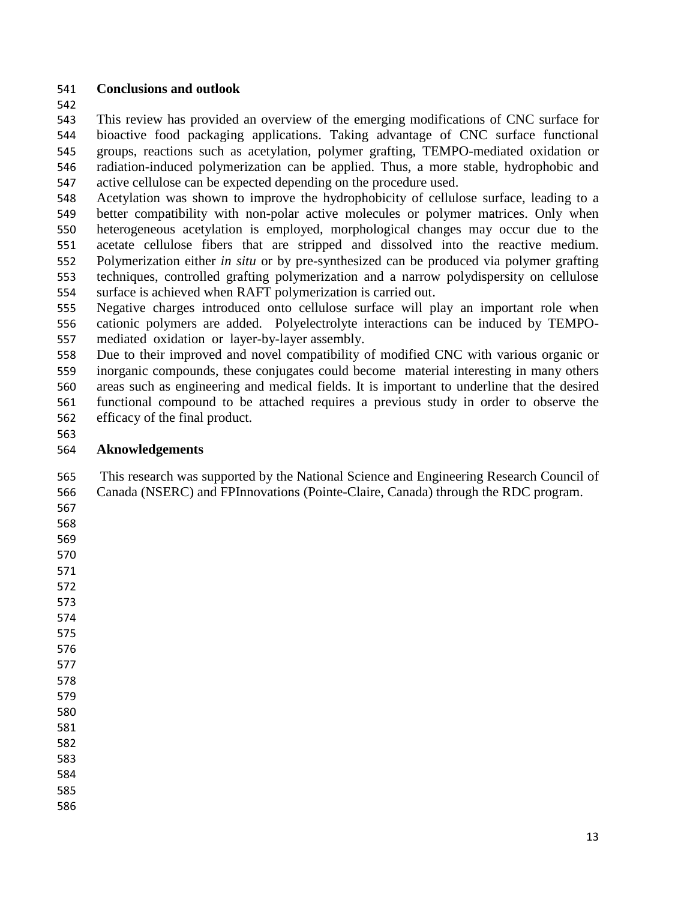### **Conclusions and outlook**

 This review has provided an overview of the emerging modifications of CNC surface for bioactive food packaging applications. Taking advantage of CNC surface functional groups, reactions such as acetylation, polymer grafting, TEMPO-mediated oxidation or radiation-induced polymerization can be applied. Thus, a more stable, hydrophobic and active cellulose can be expected depending on the procedure used.

 Acetylation was shown to improve the hydrophobicity of cellulose surface, leading to a better compatibility with non-polar active molecules or polymer matrices. Only when heterogeneous acetylation is employed, morphological changes may occur due to the acetate cellulose fibers that are stripped and dissolved into the reactive medium. Polymerization either *in situ* or by pre-synthesized can be produced via polymer grafting techniques, controlled grafting polymerization and a narrow polydispersity on cellulose surface is achieved when RAFT polymerization is carried out.

 Negative charges introduced onto cellulose surface will play an important role when cationic polymers are added. Polyelectrolyte interactions can be induced by TEMPO-mediated oxidation or layer-by-layer assembly.

 Due to their improved and novel compatibility of modified CNC with various organic or inorganic compounds, these conjugates could become material interesting in many others areas such as engineering and medical fields. It is important to underline that the desired functional compound to be attached requires a previous study in order to observe the efficacy of the final product.

### **Aknowledgements**

 This research was supported by the National Science and Engineering Research Council of Canada (NSERC) and FPInnovations (Pointe-Claire, Canada) through the RDC program.

- 
- 

- 
- 
- 
- 
- 
- 
- 

- 
- 
- 
-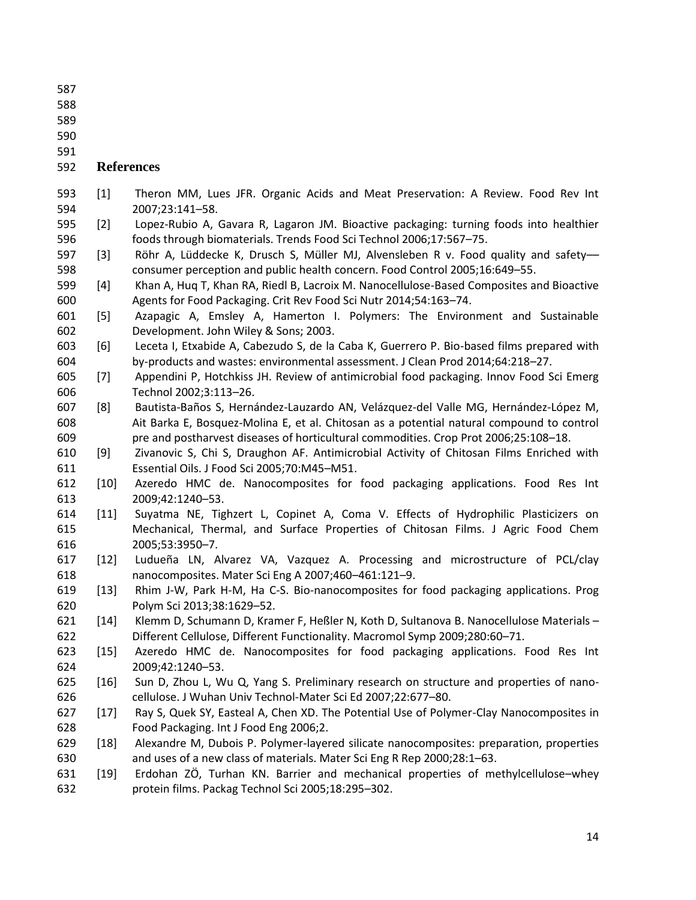- 
- 
- 
- 

#### **References**

- [1] Theron MM, Lues JFR. Organic Acids and Meat Preservation: A Review. Food Rev Int 2007;23:141–58.
- [2] Lopez-Rubio A, Gavara R, Lagaron JM. Bioactive packaging: turning foods into healthier foods through biomaterials. Trends Food Sci Technol 2006;17:567–75.
- [3] Röhr A, Lüddecke K, Drusch S, Müller MJ, Alvensleben R v. Food quality and safety–– consumer perception and public health concern. Food Control 2005;16:649–55.
- [4] Khan A, Huq T, Khan RA, Riedl B, Lacroix M. Nanocellulose-Based Composites and Bioactive Agents for Food Packaging. Crit Rev Food Sci Nutr 2014;54:163–74.
- [5] Azapagic A, Emsley A, Hamerton I. Polymers: The Environment and Sustainable Development. John Wiley & Sons; 2003.
- [6] Leceta I, Etxabide A, Cabezudo S, de la Caba K, Guerrero P. Bio-based films prepared with by-products and wastes: environmental assessment. J Clean Prod 2014;64:218–27.
- [7] Appendini P, Hotchkiss JH. Review of antimicrobial food packaging. Innov Food Sci Emerg Technol 2002;3:113–26.
- [8] Bautista-Baños S, Hernández-Lauzardo AN, Velázquez-del Valle MG, Hernández-López M, Ait Barka E, Bosquez-Molina E, et al. Chitosan as a potential natural compound to control pre and postharvest diseases of horticultural commodities. Crop Prot 2006;25:108–18.
- [9] Zivanovic S, Chi S, Draughon AF. Antimicrobial Activity of Chitosan Films Enriched with Essential Oils. J Food Sci 2005;70:M45–M51.
- [10] Azeredo HMC de. Nanocomposites for food packaging applications. Food Res Int 2009;42:1240–53.
- [11] Suyatma NE, Tighzert L, Copinet A, Coma V. Effects of Hydrophilic Plasticizers on Mechanical, Thermal, and Surface Properties of Chitosan Films. J Agric Food Chem 2005;53:3950–7.
- [12] Ludueña LN, Alvarez VA, Vazquez A. Processing and microstructure of PCL/clay nanocomposites. Mater Sci Eng A 2007;460–461:121–9.
- [13] Rhim J-W, Park H-M, Ha C-S. Bio-nanocomposites for food packaging applications. Prog Polym Sci 2013;38:1629–52.
- [14] Klemm D, Schumann D, Kramer F, Heßler N, Koth D, Sultanova B. Nanocellulose Materials Different Cellulose, Different Functionality. Macromol Symp 2009;280:60–71.
- [15] Azeredo HMC de. Nanocomposites for food packaging applications. Food Res Int 2009;42:1240–53.
- [16] Sun D, Zhou L, Wu Q, Yang S. Preliminary research on structure and properties of nano-cellulose. J Wuhan Univ Technol-Mater Sci Ed 2007;22:677–80.
- [17] Ray S, Quek SY, Easteal A, Chen XD. The Potential Use of Polymer-Clay Nanocomposites in Food Packaging. Int J Food Eng 2006;2.
- [18] Alexandre M, Dubois P. Polymer-layered silicate nanocomposites: preparation, properties and uses of a new class of materials. Mater Sci Eng R Rep 2000;28:1–63.
- [19] Erdohan ZÖ, Turhan KN. Barrier and mechanical properties of methylcellulose–whey protein films. Packag Technol Sci 2005;18:295–302.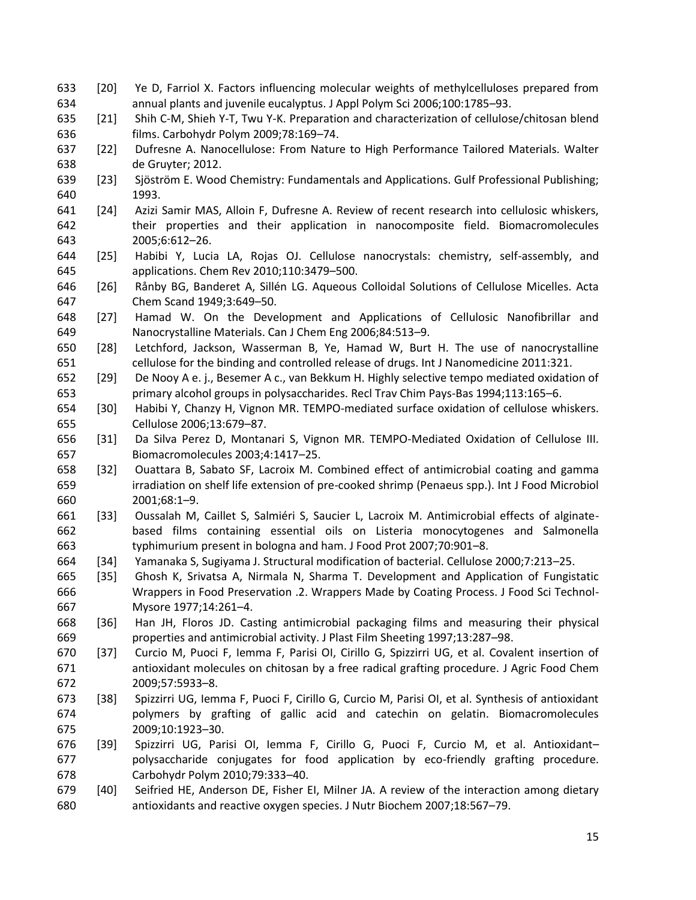- [20] Ye D, Farriol X. Factors influencing molecular weights of methylcelluloses prepared from annual plants and juvenile eucalyptus. J Appl Polym Sci 2006;100:1785–93.
- [21] Shih C-M, Shieh Y-T, Twu Y-K. Preparation and characterization of cellulose/chitosan blend films. Carbohydr Polym 2009;78:169–74.
- [22] Dufresne A. Nanocellulose: From Nature to High Performance Tailored Materials. Walter de Gruyter; 2012.
- [23] Sjöström E. Wood Chemistry: Fundamentals and Applications. Gulf Professional Publishing; 1993.
- [24] Azizi Samir MAS, Alloin F, Dufresne A. Review of recent research into cellulosic whiskers, their properties and their application in nanocomposite field. Biomacromolecules 2005;6:612–26.
- [25] Habibi Y, Lucia LA, Rojas OJ. Cellulose nanocrystals: chemistry, self-assembly, and applications. Chem Rev 2010;110:3479–500.
- [26] Rånby BG, Banderet A, Sillén LG. Aqueous Colloidal Solutions of Cellulose Micelles. Acta Chem Scand 1949;3:649–50.
- [27] Hamad W. On the Development and Applications of Cellulosic Nanofibrillar and Nanocrystalline Materials. Can J Chem Eng 2006;84:513–9.
- [28] Letchford, Jackson, Wasserman B, Ye, Hamad W, Burt H. The use of nanocrystalline cellulose for the binding and controlled release of drugs. Int J Nanomedicine 2011:321.
- [29] De Nooy A e. j., Besemer A c., van Bekkum H. Highly selective tempo mediated oxidation of primary alcohol groups in polysaccharides. Recl Trav Chim Pays-Bas 1994;113:165–6.
- [30] Habibi Y, Chanzy H, Vignon MR. TEMPO-mediated surface oxidation of cellulose whiskers. Cellulose 2006;13:679–87.
- [31] Da Silva Perez D, Montanari S, Vignon MR. TEMPO-Mediated Oxidation of Cellulose III. Biomacromolecules 2003;4:1417–25.
- [32] Ouattara B, Sabato SF, Lacroix M. Combined effect of antimicrobial coating and gamma irradiation on shelf life extension of pre-cooked shrimp (Penaeus spp.). Int J Food Microbiol 2001;68:1–9.
- [33] Oussalah M, Caillet S, Salmiéri S, Saucier L, Lacroix M. Antimicrobial effects of alginate- based films containing essential oils on Listeria monocytogenes and Salmonella typhimurium present in bologna and ham. J Food Prot 2007;70:901–8.
- [34] Yamanaka S, Sugiyama J. Structural modification of bacterial. Cellulose 2000;7:213–25.
- [35] Ghosh K, Srivatsa A, Nirmala N, Sharma T. Development and Application of Fungistatic Wrappers in Food Preservation .2. Wrappers Made by Coating Process. J Food Sci Technol-Mysore 1977;14:261–4.
- [36] Han JH, Floros JD. Casting antimicrobial packaging films and measuring their physical properties and antimicrobial activity. J Plast Film Sheeting 1997;13:287–98.
- [37] Curcio M, Puoci F, Iemma F, Parisi OI, Cirillo G, Spizzirri UG, et al. Covalent insertion of antioxidant molecules on chitosan by a free radical grafting procedure. J Agric Food Chem 2009;57:5933–8.
- [38] Spizzirri UG, Iemma F, Puoci F, Cirillo G, Curcio M, Parisi OI, et al. Synthesis of antioxidant polymers by grafting of gallic acid and catechin on gelatin. Biomacromolecules 2009;10:1923–30.
- [39] Spizzirri UG, Parisi OI, Iemma F, Cirillo G, Puoci F, Curcio M, et al. Antioxidant– polysaccharide conjugates for food application by eco-friendly grafting procedure. Carbohydr Polym 2010;79:333–40.
- [40] Seifried HE, Anderson DE, Fisher EI, Milner JA. A review of the interaction among dietary antioxidants and reactive oxygen species. J Nutr Biochem 2007;18:567–79.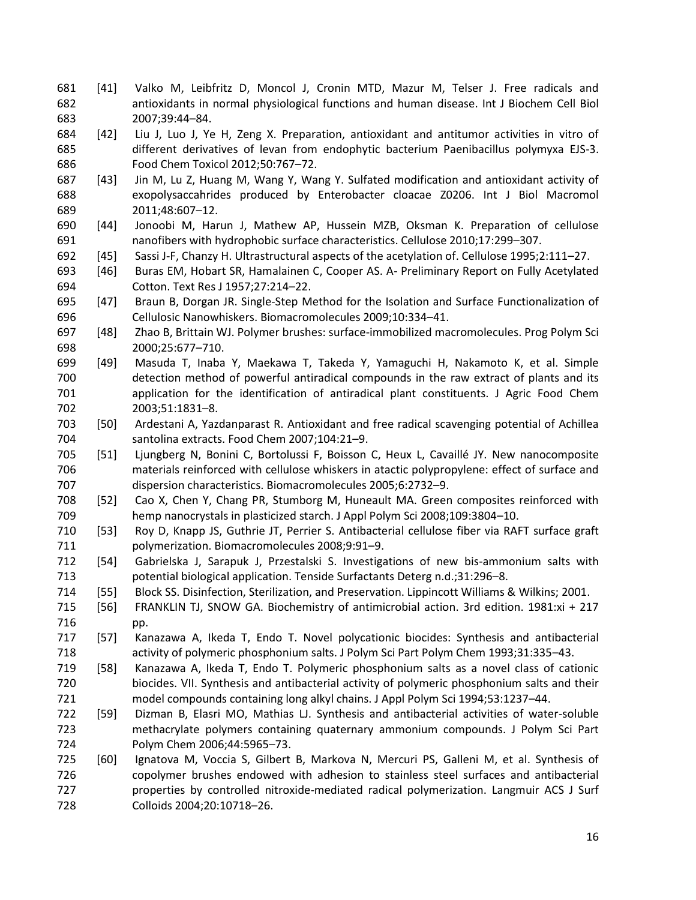- [41] Valko M, Leibfritz D, Moncol J, Cronin MTD, Mazur M, Telser J. Free radicals and antioxidants in normal physiological functions and human disease. Int J Biochem Cell Biol 2007;39:44–84.
- [42] Liu J, Luo J, Ye H, Zeng X. Preparation, antioxidant and antitumor activities in vitro of different derivatives of levan from endophytic bacterium Paenibacillus polymyxa EJS-3. Food Chem Toxicol 2012;50:767–72.
- [43] Jin M, Lu Z, Huang M, Wang Y, Wang Y. Sulfated modification and antioxidant activity of exopolysaccahrides produced by Enterobacter cloacae Z0206. Int J Biol Macromol 2011;48:607–12.
- [44] Jonoobi M, Harun J, Mathew AP, Hussein MZB, Oksman K. Preparation of cellulose nanofibers with hydrophobic surface characteristics. Cellulose 2010;17:299–307.
- [45] Sassi J-F, Chanzy H. Ultrastructural aspects of the acetylation of. Cellulose 1995;2:111–27.
- [46] Buras EM, Hobart SR, Hamalainen C, Cooper AS. A- Preliminary Report on Fully Acetylated Cotton. Text Res J 1957;27:214–22.
- [47] Braun B, Dorgan JR. Single-Step Method for the Isolation and Surface Functionalization of Cellulosic Nanowhiskers. Biomacromolecules 2009;10:334–41.
- [48] Zhao B, Brittain WJ. Polymer brushes: surface-immobilized macromolecules. Prog Polym Sci 2000;25:677–710.
- [49] Masuda T, Inaba Y, Maekawa T, Takeda Y, Yamaguchi H, Nakamoto K, et al. Simple detection method of powerful antiradical compounds in the raw extract of plants and its application for the identification of antiradical plant constituents. J Agric Food Chem 2003;51:1831–8.
- [50] Ardestani A, Yazdanparast R. Antioxidant and free radical scavenging potential of Achillea santolina extracts. Food Chem 2007;104:21–9.
- [51] Ljungberg N, Bonini C, Bortolussi F, Boisson C, Heux L, Cavaillé JY. New nanocomposite materials reinforced with cellulose whiskers in atactic polypropylene: effect of surface and dispersion characteristics. Biomacromolecules 2005;6:2732–9.
- [52] Cao X, Chen Y, Chang PR, Stumborg M, Huneault MA. Green composites reinforced with hemp nanocrystals in plasticized starch. J Appl Polym Sci 2008;109:3804–10.
- [53] Roy D, Knapp JS, Guthrie JT, Perrier S. Antibacterial cellulose fiber via RAFT surface graft polymerization. Biomacromolecules 2008;9:91–9.
- [54] Gabrielska J, Sarapuk J, Przestalski S. Investigations of new bis-ammonium salts with potential biological application. Tenside Surfactants Deterg n.d.;31:296–8.
- [55] Block SS. Disinfection, Sterilization, and Preservation. Lippincott Williams & Wilkins; 2001.
- [56] FRANKLIN TJ, SNOW GA. Biochemistry of antimicrobial action. 3rd edition. 1981:xi + 217 pp.
- [57] Kanazawa A, Ikeda T, Endo T. Novel polycationic biocides: Synthesis and antibacterial activity of polymeric phosphonium salts. J Polym Sci Part Polym Chem 1993;31:335–43.
- [58] Kanazawa A, Ikeda T, Endo T. Polymeric phosphonium salts as a novel class of cationic biocides. VII. Synthesis and antibacterial activity of polymeric phosphonium salts and their model compounds containing long alkyl chains. J Appl Polym Sci 1994;53:1237–44.
- [59] Dizman B, Elasri MO, Mathias LJ. Synthesis and antibacterial activities of water-soluble methacrylate polymers containing quaternary ammonium compounds. J Polym Sci Part Polym Chem 2006;44:5965–73.
- [60] Ignatova M, Voccia S, Gilbert B, Markova N, Mercuri PS, Galleni M, et al. Synthesis of copolymer brushes endowed with adhesion to stainless steel surfaces and antibacterial properties by controlled nitroxide-mediated radical polymerization. Langmuir ACS J Surf Colloids 2004;20:10718–26.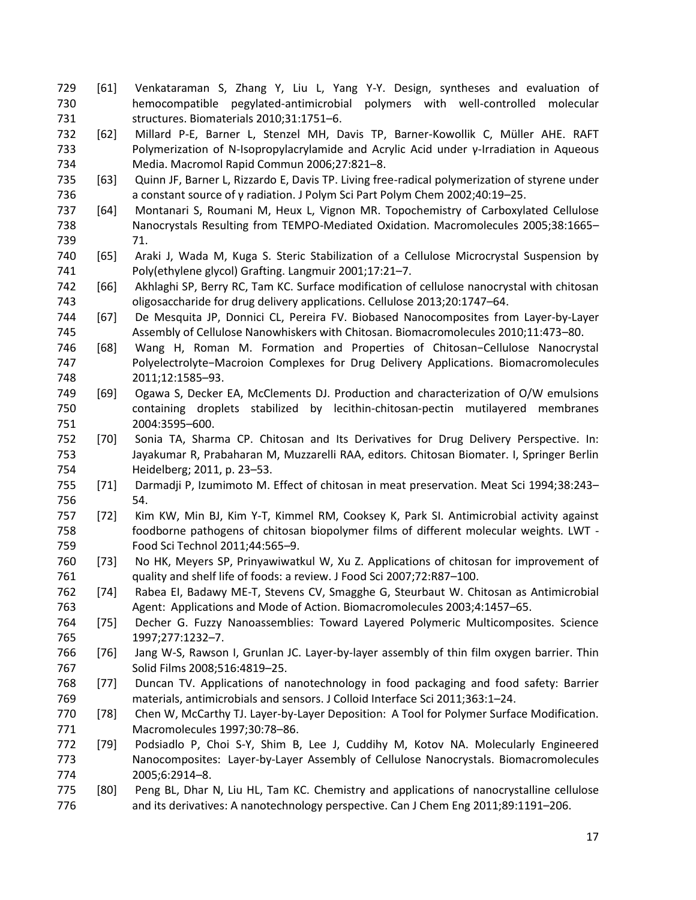- [61] Venkataraman S, Zhang Y, Liu L, Yang Y-Y. Design, syntheses and evaluation of hemocompatible pegylated-antimicrobial polymers with well-controlled molecular structures. Biomaterials 2010;31:1751–6.
- [62] Millard P-E, Barner L, Stenzel MH, Davis TP, Barner-Kowollik C, Müller AHE. RAFT Polymerization of N-Isopropylacrylamide and Acrylic Acid under γ-Irradiation in Aqueous Media. Macromol Rapid Commun 2006;27:821–8.
- [63] Quinn JF, Barner L, Rizzardo E, Davis TP. Living free-radical polymerization of styrene under a constant source of γ radiation. J Polym Sci Part Polym Chem 2002;40:19–25.
- [64] Montanari S, Roumani M, Heux L, Vignon MR. Topochemistry of Carboxylated Cellulose Nanocrystals Resulting from TEMPO-Mediated Oxidation. Macromolecules 2005;38:1665– 71.
- [65] Araki J, Wada M, Kuga S. Steric Stabilization of a Cellulose Microcrystal Suspension by Poly(ethylene glycol) Grafting. Langmuir 2001;17:21–7.
- [66] Akhlaghi SP, Berry RC, Tam KC. Surface modification of cellulose nanocrystal with chitosan oligosaccharide for drug delivery applications. Cellulose 2013;20:1747–64.
- [67] De Mesquita JP, Donnici CL, Pereira FV. Biobased Nanocomposites from Layer-by-Layer Assembly of Cellulose Nanowhiskers with Chitosan. Biomacromolecules 2010;11:473–80.
- [68] Wang H, Roman M. Formation and Properties of Chitosan−Cellulose Nanocrystal Polyelectrolyte−Macroion Complexes for Drug Delivery Applications. Biomacromolecules 2011;12:1585–93.
- [69] Ogawa S, Decker EA, McClements DJ. Production and characterization of O/W emulsions containing droplets stabilized by lecithin-chitosan-pectin mutilayered membranes 2004:3595–600.
- [70] Sonia TA, Sharma CP. Chitosan and Its Derivatives for Drug Delivery Perspective. In: Jayakumar R, Prabaharan M, Muzzarelli RAA, editors. Chitosan Biomater. I, Springer Berlin Heidelberg; 2011, p. 23–53.
- [71] Darmadji P, Izumimoto M. Effect of chitosan in meat preservation. Meat Sci 1994;38:243– 54.
- [72] Kim KW, Min BJ, Kim Y-T, Kimmel RM, Cooksey K, Park SI. Antimicrobial activity against foodborne pathogens of chitosan biopolymer films of different molecular weights. LWT - Food Sci Technol 2011;44:565–9.
- [73] No HK, Meyers SP, Prinyawiwatkul W, Xu Z. Applications of chitosan for improvement of quality and shelf life of foods: a review. J Food Sci 2007;72:R87–100.
- [74] Rabea EI, Badawy ME-T, Stevens CV, Smagghe G, Steurbaut W. Chitosan as Antimicrobial Agent:  Applications and Mode of Action. Biomacromolecules 2003;4:1457–65.
- [75] Decher G. Fuzzy Nanoassemblies: Toward Layered Polymeric Multicomposites. Science 1997;277:1232–7.
- [76] Jang W-S, Rawson I, Grunlan JC. Layer-by-layer assembly of thin film oxygen barrier. Thin Solid Films 2008;516:4819–25.
- [77] Duncan TV. Applications of nanotechnology in food packaging and food safety: Barrier materials, antimicrobials and sensors. J Colloid Interface Sci 2011;363:1–24.
- [78] Chen W, McCarthy TJ. Layer-by-Layer Deposition:  A Tool for Polymer Surface Modification. Macromolecules 1997;30:78–86.
- [79] Podsiadlo P, Choi S-Y, Shim B, Lee J, Cuddihy M, Kotov NA. Molecularly Engineered Nanocomposites:  Layer-by-Layer Assembly of Cellulose Nanocrystals. Biomacromolecules 2005;6:2914–8.
- [80] Peng BL, Dhar N, Liu HL, Tam KC. Chemistry and applications of nanocrystalline cellulose and its derivatives: A nanotechnology perspective. Can J Chem Eng 2011;89:1191–206.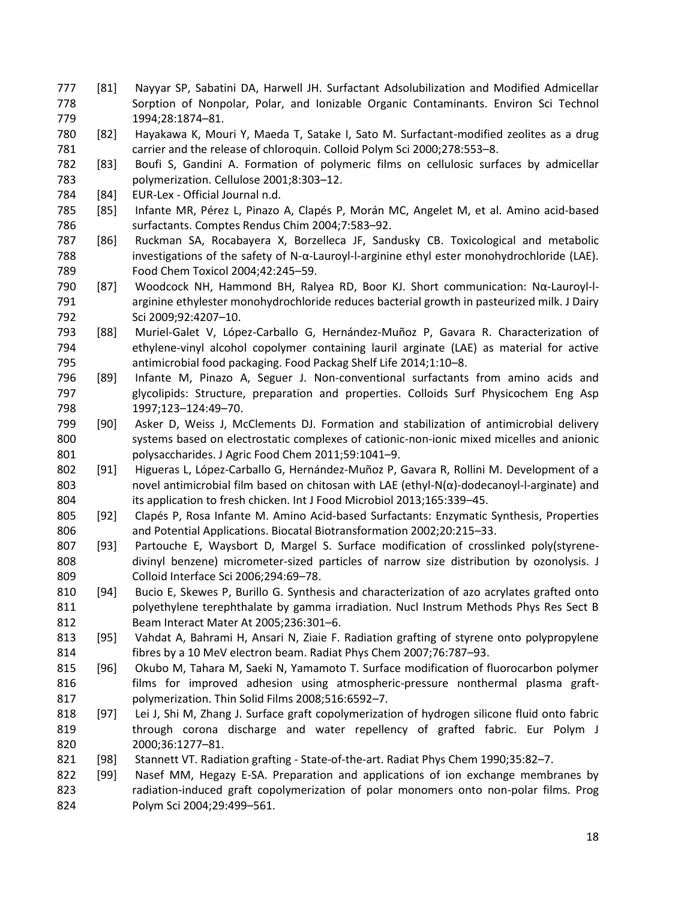- [81] Nayyar SP, Sabatini DA, Harwell JH. Surfactant Adsolubilization and Modified Admicellar Sorption of Nonpolar, Polar, and Ionizable Organic Contaminants. Environ Sci Technol 1994;28:1874–81.
- [82] Hayakawa K, Mouri Y, Maeda T, Satake I, Sato M. Surfactant-modified zeolites as a drug carrier and the release of chloroquin. Colloid Polym Sci 2000;278:553–8.
- [83] Boufi S, Gandini A. Formation of polymeric films on cellulosic surfaces by admicellar polymerization. Cellulose 2001;8:303–12.
- [84] EUR-Lex Official Journal n.d.
- [85] Infante MR, Pérez L, Pinazo A, Clapés P, Morán MC, Angelet M, et al. Amino acid-based surfactants. Comptes Rendus Chim 2004;7:583–92.
- [86] Ruckman SA, Rocabayera X, Borzelleca JF, Sandusky CB. Toxicological and metabolic investigations of the safety of N-α-Lauroyl-l-arginine ethyl ester monohydrochloride (LAE). Food Chem Toxicol 2004;42:245–59.
- [87] Woodcock NH, Hammond BH, Ralyea RD, Boor KJ. Short communication: Nα-Lauroyl-l- arginine ethylester monohydrochloride reduces bacterial growth in pasteurized milk. J Dairy Sci 2009;92:4207–10.
- [88] Muriel-Galet V, López-Carballo G, Hernández-Muñoz P, Gavara R. Characterization of ethylene-vinyl alcohol copolymer containing lauril arginate (LAE) as material for active antimicrobial food packaging. Food Packag Shelf Life 2014;1:10–8.
- [89] Infante M, Pinazo A, Seguer J. Non-conventional surfactants from amino acids and glycolipids: Structure, preparation and properties. Colloids Surf Physicochem Eng Asp 1997;123–124:49–70.
- [90] Asker D, Weiss J, McClements DJ. Formation and stabilization of antimicrobial delivery systems based on electrostatic complexes of cationic-non-ionic mixed micelles and anionic 801 polysaccharides. J Agric Food Chem 2011;59:1041-9.
- [91] Higueras L, López-Carballo G, Hernández-Muñoz P, Gavara R, Rollini M. Development of a 803 novel antimicrobial film based on chitosan with LAE (ethyl-N(α)-dodecanoyl-l-arginate) and its application to fresh chicken. Int J Food Microbiol 2013;165:339–45.
- [92] Clapés P, Rosa Infante M. Amino Acid-based Surfactants: Enzymatic Synthesis, Properties and Potential Applications. Biocatal Biotransformation 2002;20:215–33.
- [93] Partouche E, Waysbort D, Margel S. Surface modification of crosslinked poly(styrene- divinyl benzene) micrometer-sized particles of narrow size distribution by ozonolysis. J Colloid Interface Sci 2006;294:69–78.
- [94] Bucio E, Skewes P, Burillo G. Synthesis and characterization of azo acrylates grafted onto polyethylene terephthalate by gamma irradiation. Nucl Instrum Methods Phys Res Sect B Beam Interact Mater At 2005;236:301–6.
- [95] Vahdat A, Bahrami H, Ansari N, Ziaie F. Radiation grafting of styrene onto polypropylene fibres by a 10 MeV electron beam. Radiat Phys Chem 2007;76:787–93.
- [96] Okubo M, Tahara M, Saeki N, Yamamoto T. Surface modification of fluorocarbon polymer films for improved adhesion using atmospheric-pressure nonthermal plasma graft-polymerization. Thin Solid Films 2008;516:6592–7.
- [97] Lei J, Shi M, Zhang J. Surface graft copolymerization of hydrogen silicone fluid onto fabric through corona discharge and water repellency of grafted fabric. Eur Polym J 2000;36:1277–81.
- [98] Stannett VT. Radiation grafting State-of-the-art. Radiat Phys Chem 1990;35:82–7.
- [99] Nasef MM, Hegazy E-SA. Preparation and applications of ion exchange membranes by radiation-induced graft copolymerization of polar monomers onto non-polar films. Prog Polym Sci 2004;29:499–561.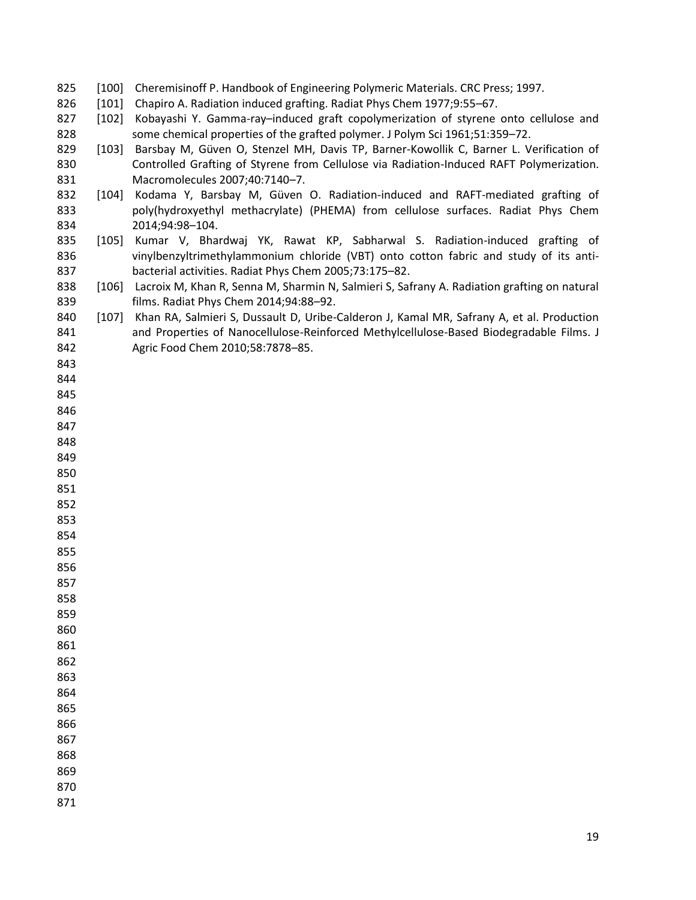- 825 [100] Cheremisinoff P. Handbook of Engineering Polymeric Materials. CRC Press; 1997.
- [101] Chapiro A. Radiation induced grafting. Radiat Phys Chem 1977;9:55–67.
- 827 [102] Kobayashi Y. Gamma-ray-induced graft copolymerization of styrene onto cellulose and some chemical properties of the grafted polymer. J Polym Sci 1961;51:359–72.
- 829 [103] Barsbay M, Güven O, Stenzel MH, Davis TP, Barner-Kowollik C, Barner L. Verification of Controlled Grafting of Styrene from Cellulose via Radiation-Induced RAFT Polymerization. Macromolecules 2007;40:7140–7.
- [104] Kodama Y, Barsbay M, Güven O. Radiation-induced and RAFT-mediated grafting of poly(hydroxyethyl methacrylate) (PHEMA) from cellulose surfaces. Radiat Phys Chem 2014;94:98–104.
- [105] Kumar V, Bhardwaj YK, Rawat KP, Sabharwal S. Radiation-induced grafting of vinylbenzyltrimethylammonium chloride (VBT) onto cotton fabric and study of its anti-bacterial activities. Radiat Phys Chem 2005;73:175–82.
- 838 [106] Lacroix M, Khan R, Senna M, Sharmin N, Salmieri S, Safrany A. Radiation grafting on natural films. Radiat Phys Chem 2014;94:88–92.
- [107] Khan RA, Salmieri S, Dussault D, Uribe-Calderon J, Kamal MR, Safrany A, et al. Production and Properties of Nanocellulose-Reinforced Methylcellulose-Based Biodegradable Films. J Agric Food Chem 2010;58:7878–85.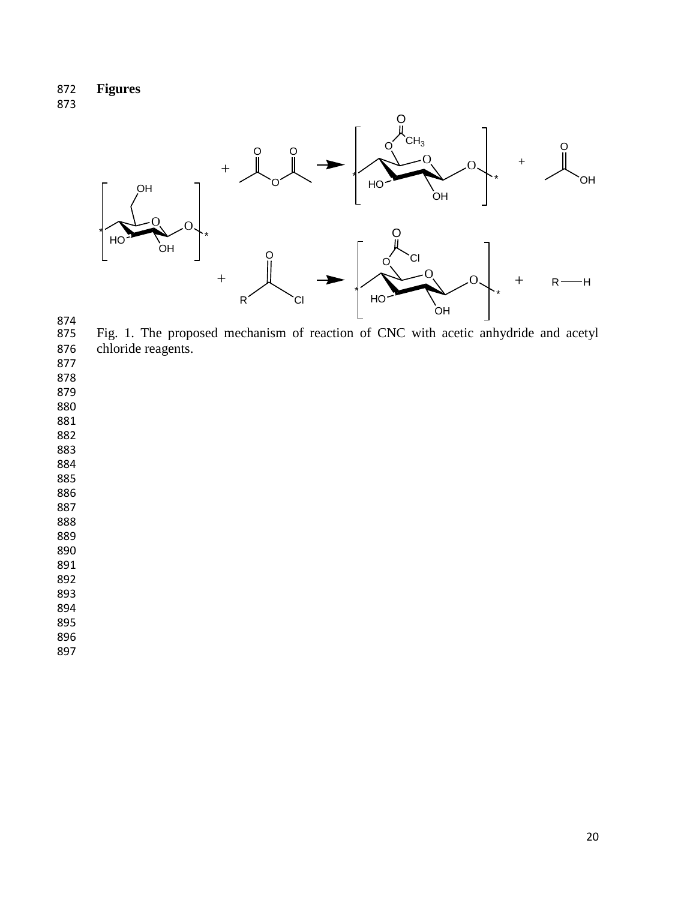872 **Figures**

873



874<br>875 875 Fig. 1. The proposed mechanism of reaction of CNC with acetic anhydride and acetyl 876 chloride reagents.

877

878

879

880

881

882

883

884

885

886

887 888

889

890

891 892

893

894

895

896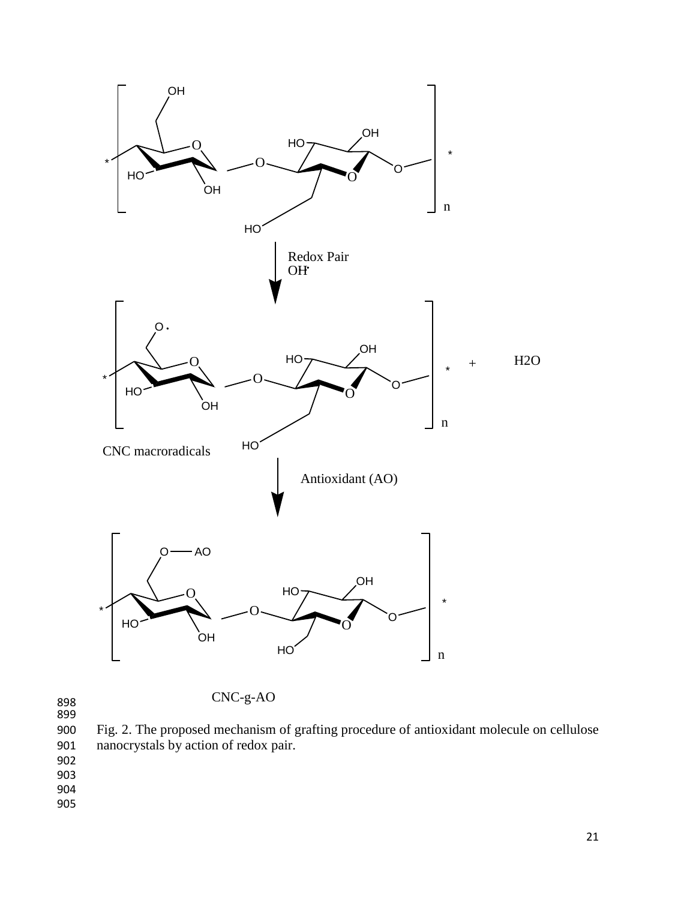

899

900 Fig. 2. The proposed mechanism of grafting procedure of antioxidant molecule on cellulose 901 nanocrystals by action of redox pair.

902

903 904